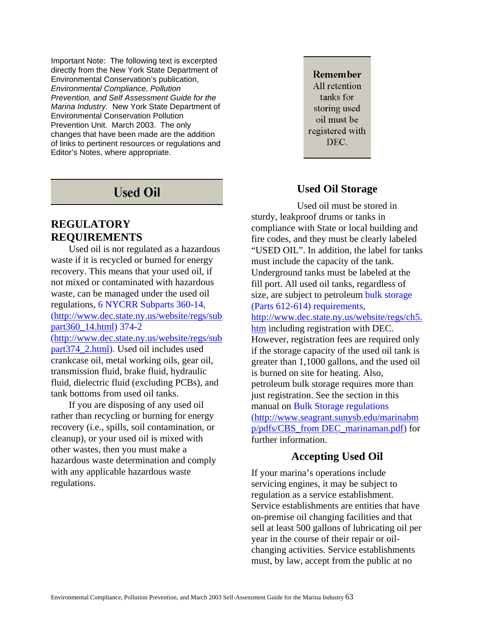Important Note: The following text is excerpted directly from the New York State Department of Environmental Conservation's publication, *Environmental Compliance, Pollution Prevention, and Self Assessment Guide for the Marina Industry.* New York State Department of Environmental Conservation Pollution Prevention Unit. March 2003. The only changes that have been made are the addition of links to pertinent resources or regulations and Editor's Notes, where appropriate.

## **Used Oil**

### **REGULATORY REQUIREMENTS**

Used oil is not regulated as a hazardous waste if it is recycled or burned for energy recovery. This means that your used oil, if not mixed or contaminated with hazardous waste, can be managed under the used oil regulations, 6 NYCRR Subparts 360-14, [\(http://www.dec.state.ny.us/website/regs/sub](http://www.dec.state.ny.us/website/regs/subpart360_14.html) [part360\\_14.html\)](http://www.dec.state.ny.us/website/regs/subpart360_14.html) 374-2 [\(http://www.dec.state.ny.us/website/regs/sub](http://www.dec.state.ny.us/website/regs/subpart374_2.html) [part374\\_2.html\)](http://www.dec.state.ny.us/website/regs/subpart374_2.html). Used oil includes used crankcase oil, metal working oils, gear oil, transmission fluid, brake fluid, hydraulic fluid, dielectric fluid (excluding PCBs), and tank bottoms from used oil tanks.

If you are disposing of any used oil rather than recycling or burning for energy recovery (i.e., spills, soil contamination, or cleanup), or your used oil is mixed with other wastes, then you must make a hazardous waste determination and comply with any applicable hazardous waste regulations.

**Remember** All retention tanks for storing used oil must be registered with DEC.

### **Used Oil Storage**

Used oil must be stored in sturdy, leakproof drums or tanks in compliance with State or local building and fire codes, and they must be clearly labeled "USED OIL". In addition, the label for tanks must include the capacity of the tank. Underground tanks must be labeled at the fill port. All used oil tanks, regardless of size, are subject to petroleum bulk storage (Parts 612-614) requirements, [http://www.dec.state.ny.us/website/regs/ch5.](http://www.dec.state.ny.us/website/regs/ch5.htm) [htm](http://www.dec.state.ny.us/website/regs/ch5.htm) including registration with DEC. However, registration fees are required only if the storage capacity of the used oil tank is greater than 1,1000 gallons, and the used oil is burned on site for heating. Also, petroleum bulk storage requires more than just registration. See the section in this manual on Bulk Storage regulations [\(http://www.seagrant.sunysb.edu/marinabm](http://www.seagrant.sunysb.edu/marinabmp/pdfs/CBS_from%20DEC_marinaman.pdf) [p/pdfs/CBS\\_from DEC\\_marinaman.pdf](http://www.seagrant.sunysb.edu/marinabmp/pdfs/CBS_from%20DEC_marinaman.pdf)) for further information.

#### **Accepting Used Oil**

If your marina's operations include servicing engines, it may be subject to regulation as a service establishment. Service establishments are entities that have on-premise oil changing facilities and that sell at least 500 gallons of lubricating oil per year in the course of their repair or oilchanging activities. Service establishments must, by law, accept from the public at no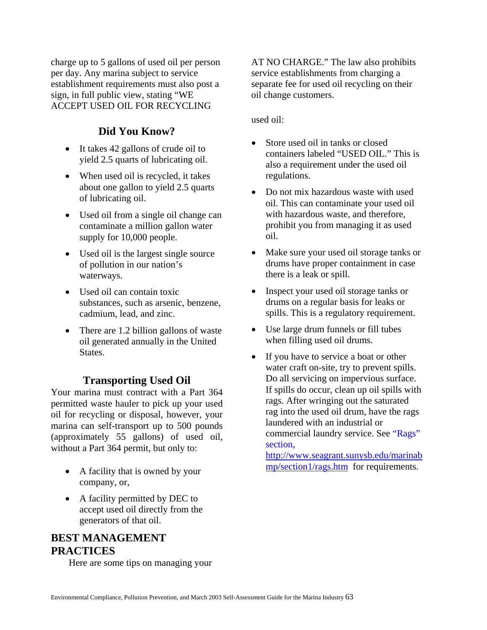charge up to 5 gallons of used oil per person per day. Any marina subject to service establishment requirements must also post a sign, in full public view, stating "WE ACCEPT USED OIL FOR RECYCLING

## **Did You Know?**

- It takes 42 gallons of crude oil to yield 2.5 quarts of lubricating oil.
- When used oil is recycled, it takes about one gallon to yield 2.5 quarts of lubricating oil.
- Used oil from a single oil change can contaminate a million gallon water supply for 10,000 people.
- Used oil is the largest single source of pollution in our nation's waterways.
- Used oil can contain toxic substances, such as arsenic, benzene, cadmium, lead, and zinc.
- There are 1.2 billion gallons of waste oil generated annually in the United States.

#### **Transporting Used Oil**

Your marina must contract with a Part 364 permitted waste hauler to pick up your used oil for recycling or disposal, however, your marina can self-transport up to 500 pounds (approximately 55 gallons) of used oil, without a Part 364 permit, but only to:

- A facility that is owned by your company, or,
- A facility permitted by DEC to accept used oil directly from the generators of that oil.

## **BEST MANAGEMENT PRACTICES**

Here are some tips on managing your

AT NO CHARGE." The law also prohibits service establishments from charging a separate fee for used oil recycling on their oil change customers.

used oil:

- Store used oil in tanks or closed containers labeled "USED OIL." This is also a requirement under the used oil regulations.
- Do not mix hazardous waste with used oil. This can contaminate your used oil with hazardous waste, and therefore, prohibit you from managing it as used oil.
- Make sure your used oil storage tanks or drums have proper containment in case there is a leak or spill.
- Inspect your used oil storage tanks or drums on a regular basis for leaks or spills. This is a regulatory requirement.
- Use large drum funnels or fill tubes when filling used oil drums.
- If you have to service a boat or other water craft on-site, try to prevent spills. Do all servicing on impervious surface. If spills do occur, clean up oil spills with rags. After wringing out the saturated rag into the used oil drum, have the rags laundered with an industrial or commercial laundry service. See "Rags" section,

[http://www.seagrant.sunysb.edu/marinab](http://www.seagrant.sunysb.edu/marinabmp/section1/rags.htm) [mp/section1/rags.htm](http://www.seagrant.sunysb.edu/marinabmp/section1/rags.htm) for requirements.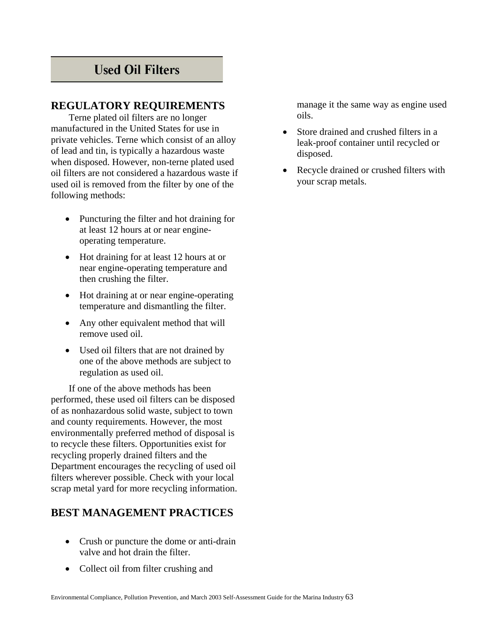# **Used Oil Filters**

#### **REGULATORY REQUIREMENTS**

Terne plated oil filters are no longer manufactured in the United States for use in private vehicles. Terne which consist of an alloy of lead and tin, is typically a hazardous waste when disposed. However, non-terne plated used oil filters are not considered a hazardous waste if used oil is removed from the filter by one of the following methods:

- Puncturing the filter and hot draining for at least 12 hours at or near engineoperating temperature.
- Hot draining for at least 12 hours at or near engine-operating temperature and then crushing the filter.
- Hot draining at or near engine-operating temperature and dismantling the filter.
- Any other equivalent method that will remove used oil.
- Used oil filters that are not drained by one of the above methods are subject to regulation as used oil.

If one of the above methods has been performed, these used oil filters can be disposed of as nonhazardous solid waste, subject to town and county requirements. However, the most environmentally preferred method of disposal is to recycle these filters. Opportunities exist for recycling properly drained filters and the Department encourages the recycling of used oil filters wherever possible. Check with your local scrap metal yard for more recycling information.

## **BEST MANAGEMENT PRACTICES**

- Crush or puncture the dome or anti-drain valve and hot drain the filter.
- Collect oil from filter crushing and

manage it the same way as engine used oils.

- Store drained and crushed filters in a leak-proof container until recycled or disposed.
- Recycle drained or crushed filters with your scrap metals.